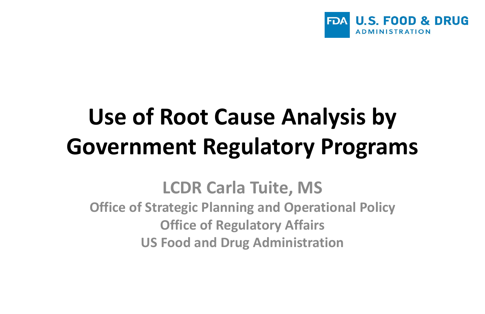

## **Use of Root Cause Analysis by Government Regulatory Programs**

**LCDR Carla Tuite, MS Office of Strategic Planning and Operational Policy Office of Regulatory Affairs US Food and Drug Administration**

### **U.S. FOOD & DRUG ADMINISTRATION**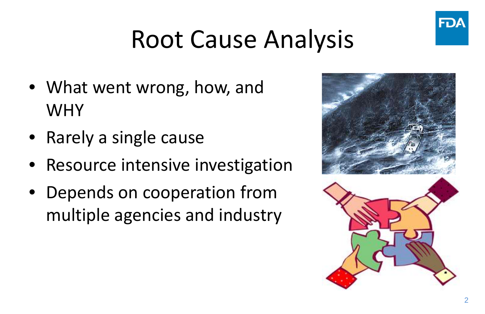### Root Cause Analysis

- What went wrong, how, and WHY
- Rarely a single cause
- Resource intensive investigation
- Depends on cooperation from multiple agencies and industry





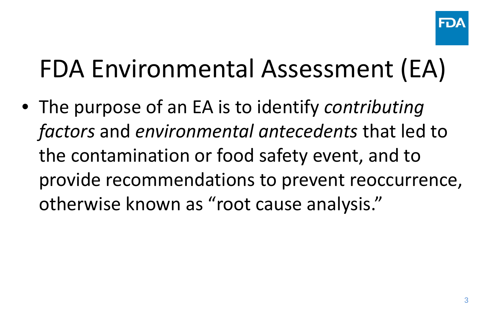### FDA Environmental Assessment (EA)

• The purpose of an EA is to identify *contributing factors* and *environmental antecedents* that led to the contamination or food safety event, and to provide recommendations to prevent reoccurrence, otherwise known as "root cause analysis."

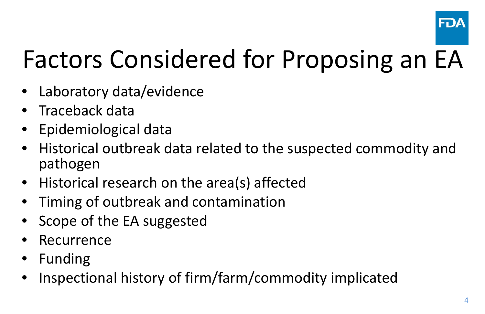4

### Factors Considered for Proposing an EA

- Laboratory data/evidence
- Traceback data
- Epidemiological data
- Historical outbreak data related to the suspected commodity and pathogen
- Historical research on the area(s) affected
- Timing of outbreak and contamination
- Scope of the EA suggested
- **Recurrence**
- Funding
- Inspectional history of firm/farm/commodity implicated

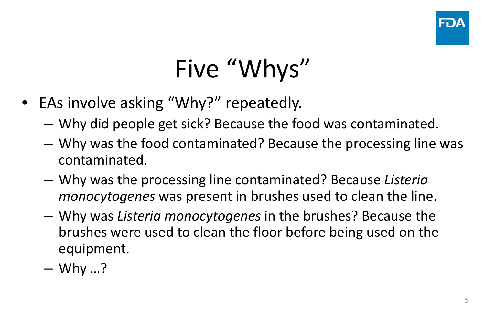# Five "Whys"

- EAs involve asking "Why?" repeatedly.
	- Why did people get sick? Because the food was contaminated.
	- Why was the food contaminated? Because the processing line was contaminated.
	- Why was the processing line contaminated? Because *Listeria monocytogenes* was present in brushes used to clean the line.
	- Why was *Listeria monocytogenes* in the brushes? Because the brushes were used to clean the floor before being used on the equipment.
	- $-$  Why ...?

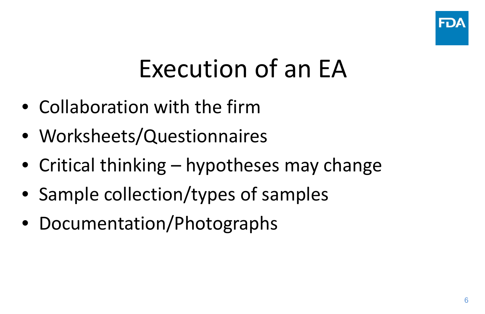6

### Execution of an EA

- Collaboration with the firm
- Worksheets/Questionnaires
- Critical thinking hypotheses may change
- Sample collection/types of samples
- Documentation/Photographs

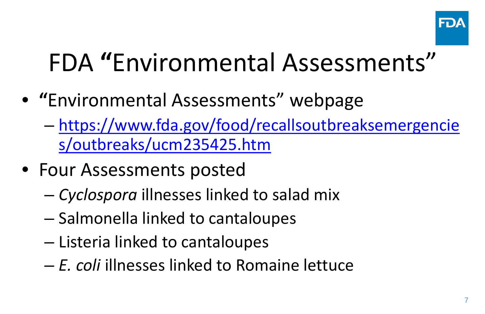### FDA **"**Environmental Assessments"

- **"**Environmental Assessments" webpage – [https://www.fda.gov/food/recallsoutbreaksemergencie](https://www.fda.gov/food/recallsoutbreaksemergencies/outbreaks/ucm235425.htm) s/outbreaks/ucm235425.htm
- Four Assessments posted
	- *Cyclospora* illnesses linked to salad mix
	- Salmonella linked to cantaloupes
	- Listeria linked to cantaloupes
	- *E. coli* illnesses linked to Romaine lettuce

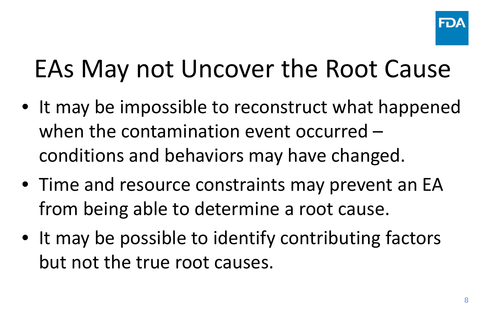### EAs May not Uncover the Root Cause

- It may be impossible to reconstruct what happened when the contamination event occurred – conditions and behaviors may have changed.
- Time and resource constraints may prevent an EA from being able to determine a root cause.
- It may be possible to identify contributing factors but not the true root causes.

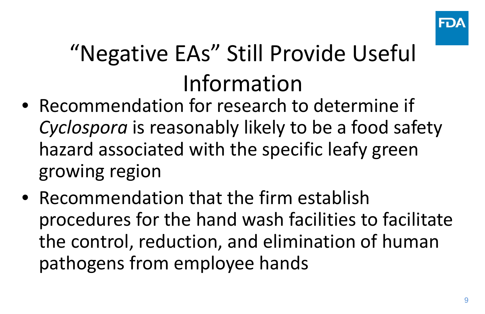### "Negative EAs" Still Provide Useful Information

- Recommendation for research to determine if *Cyclospora* is reasonably likely to be a food safety hazard associated with the specific leafy green growing region
- Recommendation that the firm establish procedures for the hand wash facilities to facilitate the control, reduction, and elimination of human pathogens from employee hands

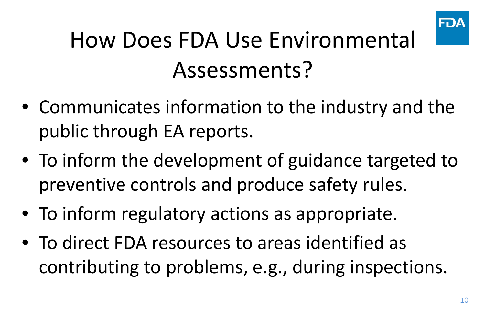### How Does FDA Use Environmental Assessments?

- Communicates information to the industry and the public through EA reports.
- To inform the development of guidance targeted to preventive controls and produce safety rules.
- To inform regulatory actions as appropriate.
- To direct FDA resources to areas identified as contributing to problems, e.g., during inspections.

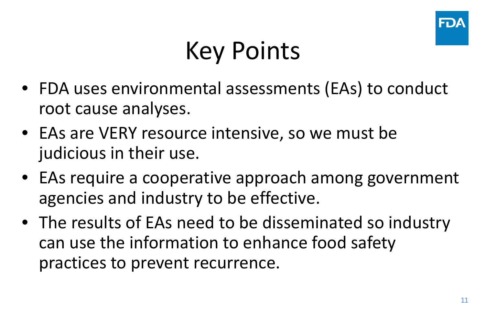## Key Points

- FDA uses environmental assessments (EAs) to conduct root cause analyses.
- EAs are VERY resource intensive, so we must be judicious in their use.
- EAs require a cooperative approach among government agencies and industry to be effective.
- The results of EAs need to be disseminated so industry can use the information to enhance food safety practices to prevent recurrence.